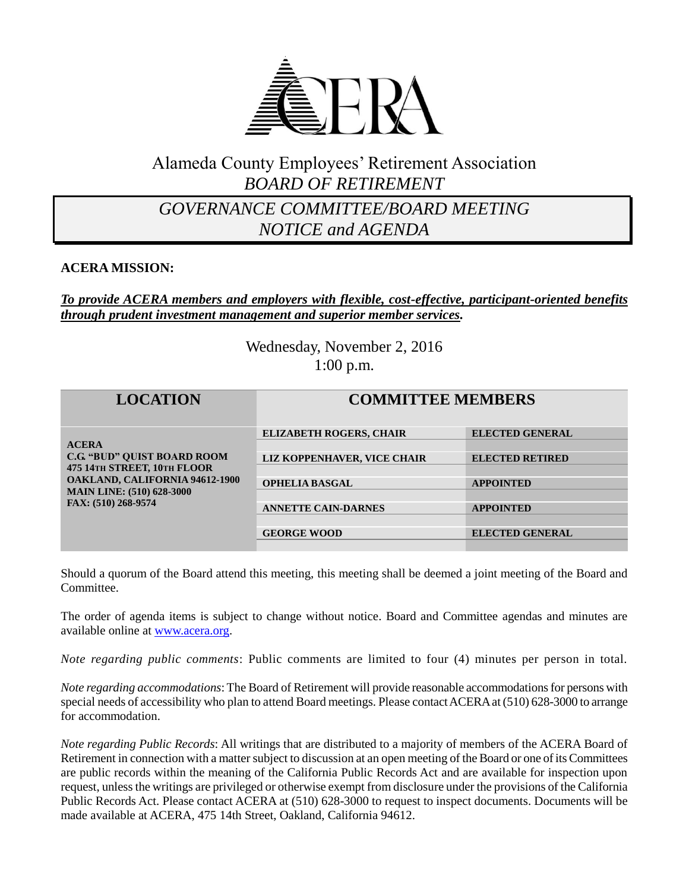

# Alameda County Employees' Retirement Association *BOARD OF RETIREMENT*

## *GOVERNANCE COMMITTEE/BOARD MEETING NOTICE and AGENDA*

#### **ACERA MISSION:**

#### *To provide ACERA members and employers with flexible, cost-effective, participant-oriented benefits through prudent investment management and superior member services.*

Wednesday, November 2, 2016 1:00 p.m.

| <b>LOCATION</b>                                                                                                                                                                       | <b>COMMITTEE MEMBERS</b>       |                        |
|---------------------------------------------------------------------------------------------------------------------------------------------------------------------------------------|--------------------------------|------------------------|
| <b>ACERA</b><br><b>C.G. "BUD" OUIST BOARD ROOM</b><br>475 14TH STREET, 10TH FLOOR<br><b>OAKLAND, CALIFORNIA 94612-1900</b><br><b>MAIN LINE: (510) 628-3000</b><br>FAX: (510) 268-9574 | <b>ELIZABETH ROGERS, CHAIR</b> | <b>ELECTED GENERAL</b> |
|                                                                                                                                                                                       | LIZ KOPPENHAVER, VICE CHAIR    | <b>ELECTED RETIRED</b> |
|                                                                                                                                                                                       | <b>OPHELIA BASGAL</b>          | <b>APPOINTED</b>       |
|                                                                                                                                                                                       | <b>ANNETTE CAIN-DARNES</b>     | <b>APPOINTED</b>       |
|                                                                                                                                                                                       | <b>GEORGE WOOD</b>             | <b>ELECTED GENERAL</b> |

Should a quorum of the Board attend this meeting, this meeting shall be deemed a joint meeting of the Board and Committee.

The order of agenda items is subject to change without notice. Board and Committee agendas and minutes are available online at [www.acera.org.](http://www.acera.org/)

*Note regarding public comments*: Public comments are limited to four (4) minutes per person in total.

*Note regarding accommodations*: The Board of Retirement will provide reasonable accommodations for persons with special needs of accessibility who plan to attend Board meetings. Please contact ACERA at (510) 628-3000 to arrange for accommodation.

*Note regarding Public Records*: All writings that are distributed to a majority of members of the ACERA Board of Retirement in connection with a matter subject to discussion at an open meeting of the Board or one of its Committees are public records within the meaning of the California Public Records Act and are available for inspection upon request, unless the writings are privileged or otherwise exempt from disclosure under the provisions of the California Public Records Act. Please contact ACERA at (510) 628-3000 to request to inspect documents. Documents will be made available at ACERA, 475 14th Street, Oakland, California 94612.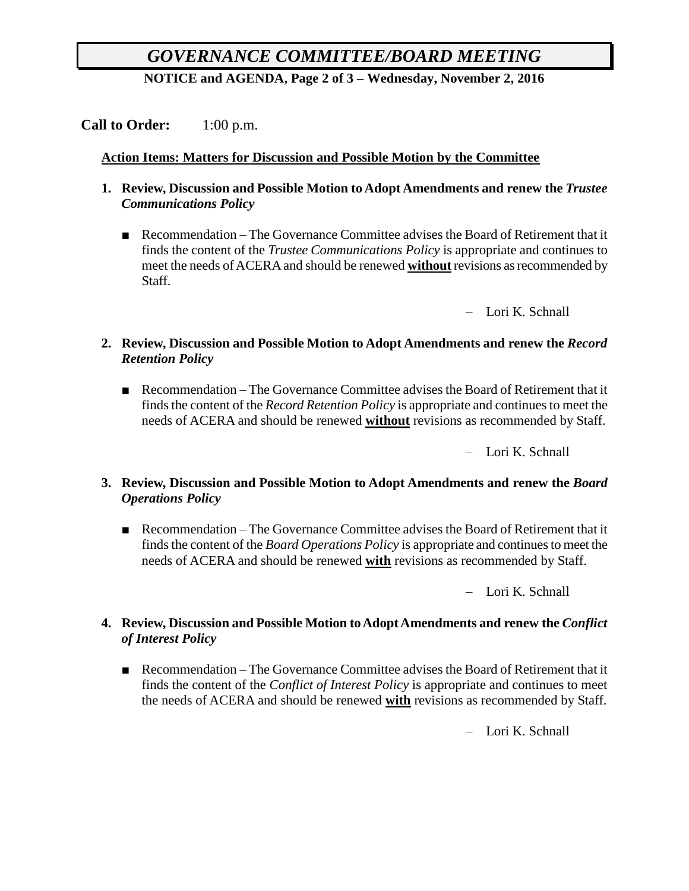# *GOVERNANCE COMMITTEE/BOARD MEETING*

**NOTICE and AGENDA, Page 2 of 3 – Wednesday, November 2, 2016**

## **Call to Order:** 1:00 p.m.

#### **Action Items: Matters for Discussion and Possible Motion by the Committee**

- **1. Review, Discussion and Possible Motion to Adopt Amendments and renew the** *Trustee Communications Policy*
	- Recommendation The Governance Committee advises the Board of Retirement that it finds the content of the *Trustee Communications Policy* is appropriate and continues to meet the needs of ACERA and should be renewed **without** revisions as recommended by Staff.

– Lori K. Schnall

- **2. Review, Discussion and Possible Motion to Adopt Amendments and renew the** *Record Retention Policy*
	- Recommendation The Governance Committee advises the Board of Retirement that it finds the content of the *Record Retention Policy* is appropriate and continues to meet the needs of ACERA and should be renewed **without** revisions as recommended by Staff.

– Lori K. Schnall

- **3. Review, Discussion and Possible Motion to Adopt Amendments and renew the** *Board Operations Policy*
	- Recommendation The Governance Committee advises the Board of Retirement that it finds the content of the *Board Operations Policy* is appropriate and continues to meet the needs of ACERA and should be renewed **with** revisions as recommended by Staff.

– Lori K. Schnall

#### **4. Review, Discussion and Possible Motion to Adopt Amendments and renew the** *Conflict of Interest Policy*

■ Recommendation – The Governance Committee advises the Board of Retirement that it finds the content of the *Conflict of Interest Policy* is appropriate and continues to meet the needs of ACERA and should be renewed **with** revisions as recommended by Staff.

– Lori K. Schnall